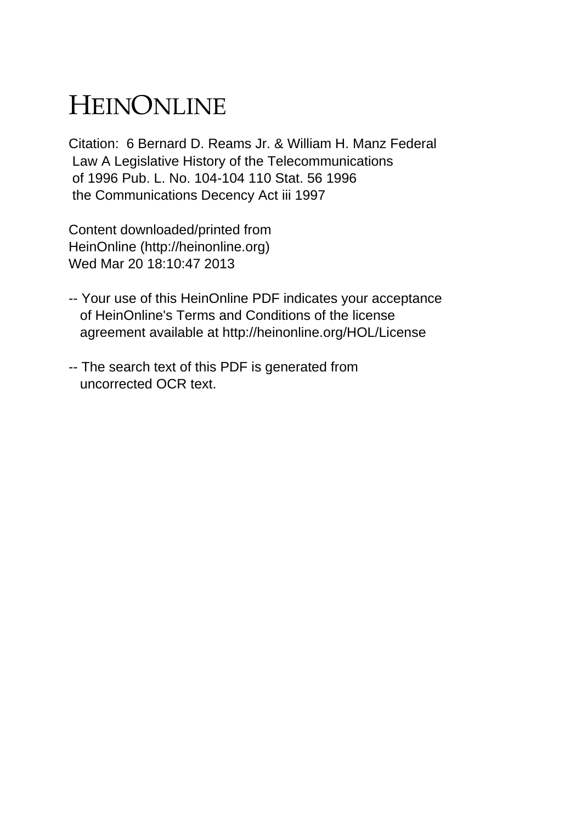## HEINONLINE

Citation: 6 Bernard D. Reams Jr. & William H. Manz Federal Law A Legislative History of the Telecommunications of 1996 Pub. L. No. 104-104 110 Stat. 56 1996 the Communications Decency Act iii 1997

Content downloaded/printed from HeinOnline (http://heinonline.org) Wed Mar 20 18:10:47 2013

- -- Your use of this HeinOnline PDF indicates your acceptance of HeinOnline's Terms and Conditions of the license agreement available at http://heinonline.org/HOL/License
- -- The search text of this PDF is generated from uncorrected OCR text.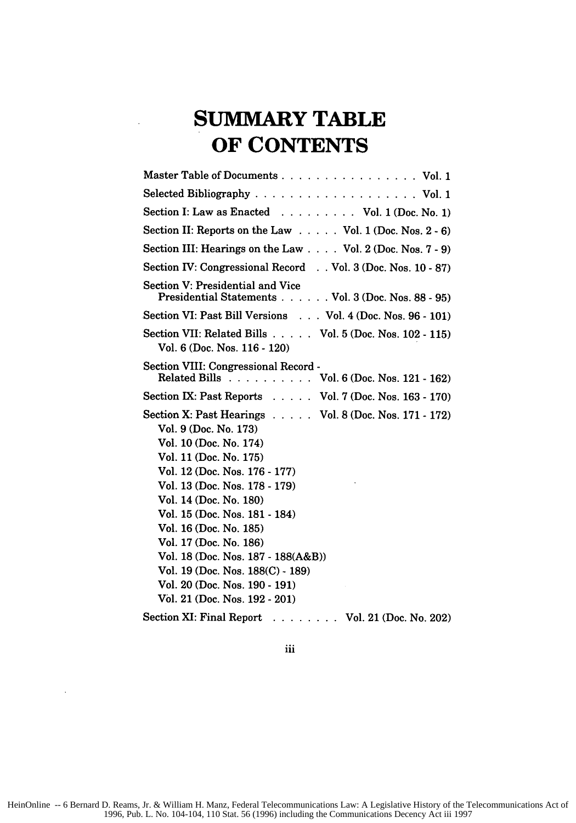## **SUMMARY TABLE OF CONTENTS**

| Master Table of Documents Vol. 1                                                                                                                                                                                                                                                                                                                                                                                                                                           |
|----------------------------------------------------------------------------------------------------------------------------------------------------------------------------------------------------------------------------------------------------------------------------------------------------------------------------------------------------------------------------------------------------------------------------------------------------------------------------|
|                                                                                                                                                                                                                                                                                                                                                                                                                                                                            |
| Section I: Law as Enacted Vol. 1 (Doc. No. 1)                                                                                                                                                                                                                                                                                                                                                                                                                              |
| Section II: Reports on the Law Vol. 1 (Doc. Nos. 2 - 6)                                                                                                                                                                                                                                                                                                                                                                                                                    |
| Section III: Hearings on the Law Vol. 2 (Doc. Nos. 7 - 9)                                                                                                                                                                                                                                                                                                                                                                                                                  |
| Section IV: Congressional Record Vol. 3 (Doc. Nos. 10 - 87)                                                                                                                                                                                                                                                                                                                                                                                                                |
| Section V: Presidential and Vice<br>Presidential Statements Vol. 3 (Doc. Nos. 88 - 95)                                                                                                                                                                                                                                                                                                                                                                                     |
| Section VI: Past Bill Versions Vol. 4 (Doc. Nos. 96 - 101)                                                                                                                                                                                                                                                                                                                                                                                                                 |
| Section VII: Related Bills Vol. 5 (Doc. Nos. 102 - 115)<br>Vol. 6 (Doc. Nos. 116 - 120)                                                                                                                                                                                                                                                                                                                                                                                    |
| Section VIII: Congressional Record -<br>Related Bills Vol. 6 (Doc. Nos. 121 - 162)                                                                                                                                                                                                                                                                                                                                                                                         |
| Section IX: Past Reports Vol. 7 (Doc. Nos. 163 - 170)                                                                                                                                                                                                                                                                                                                                                                                                                      |
| Section X: Past Hearings $\ldots$ . Vol. 8 (Doc. Nos. 171 - 172)<br>Vol. 9 (Doc. No. 173)<br>Vol. 10 (Doc. No. 174)<br>Vol. 11 (Doc. No. 175)<br>Vol. 12 (Doc. Nos. 176 - 177)<br>Vol. 13 (Doc. Nos. 178 - 179)<br>Vol. 14 (Doc. No. 180)<br>Vol. 15 (Doc. Nos. 181 - 184)<br>Vol. 16 (Doc. No. 185)<br>Vol. 17 (Doc. No. 186)<br>Vol. 18 (Doc. Nos. 187 - 188(A&B))<br>Vol. 19 (Doc. Nos. 188(C) - 189)<br>Vol. 20 (Doc. Nos. 190 - 191)<br>Vol. 21 (Doc. Nos. 192 - 201) |
| Section XI: Final Report<br>. Vol. 21 (Doc. No. 202)                                                                                                                                                                                                                                                                                                                                                                                                                       |

iii